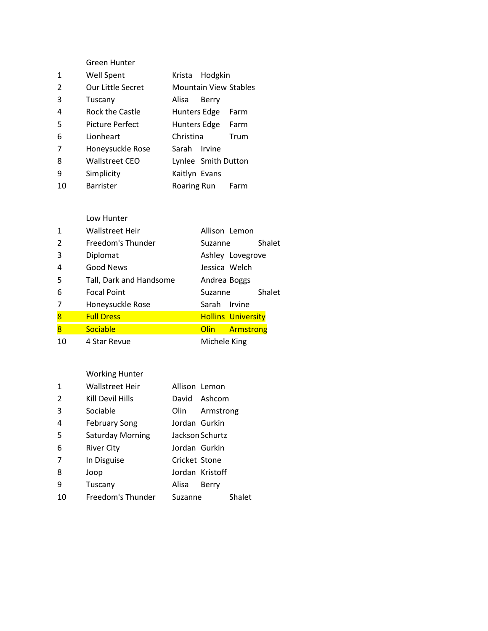|              | Green Hunter      |                              |      |
|--------------|-------------------|------------------------------|------|
| $\mathbf{1}$ | <b>Well Spent</b> | Krista Hodgkin               |      |
| 2            | Our Little Secret | <b>Mountain View Stables</b> |      |
| 3            | Tuscany           | Alisa<br>Berry               |      |
| 4            | Rock the Castle   | Hunters Edge                 | Farm |
| 5            | Picture Perfect   | Hunters Edge                 | Farm |
| 6            | Lionheart         | Christina                    | Trum |
| 7            | Honeysuckle Rose  | Sarah Irvine                 |      |
| 8            | Wallstreet CEO    | Lynlee Smith Dutton          |      |
| 9            | Simplicity        | Kaitlyn Evans                |      |
| 10           | <b>Barrister</b>  | Roaring Run                  | Farm |

#### Low Hunter

| $\mathbf{1}$            | <b>Wallstreet Heir</b>  | Allison Lemon             |
|-------------------------|-------------------------|---------------------------|
| $\mathcal{P}$           | Freedom's Thunder       | Shalet<br>Suzanne         |
| 3                       | Diplomat                | Ashley Lovegrove          |
| 4                       | Good News               | Jessica Welch             |
| 5                       | Tall, Dark and Handsome | Andrea Boggs              |
|                         |                         |                           |
| 6                       | <b>Focal Point</b>      | Shalet<br>Suzanne         |
| 7                       | Honeysuckle Rose        | Sarah Irvine              |
| $\overline{\mathbf{8}}$ | <b>Full Dress</b>       | <b>Hollins University</b> |
| 8                       | Sociable                | Armstrong<br><b>Olin</b>  |

# Working Hunter

| 1             | <b>Wallstreet Heir</b>  | Allison Lemon |                 |        |
|---------------|-------------------------|---------------|-----------------|--------|
| $\mathcal{P}$ | Kill Devil Hills        |               | David Ashcom    |        |
| 3             | Sociable                | Olin.         | Armstrong       |        |
| 4             | <b>February Song</b>    | Jordan Gurkin |                 |        |
| .5            | <b>Saturday Morning</b> |               | Jackson Schurtz |        |
| 6             | River City              | Jordan Gurkin |                 |        |
| 7             | In Disguise             | Cricket Stone |                 |        |
| 8             | Joop                    |               | Jordan Kristoff |        |
| 9             | Tuscany                 | Alisa         | Berry           |        |
| 10            | Freedom's Thunder       | Suzanne       |                 | Shalet |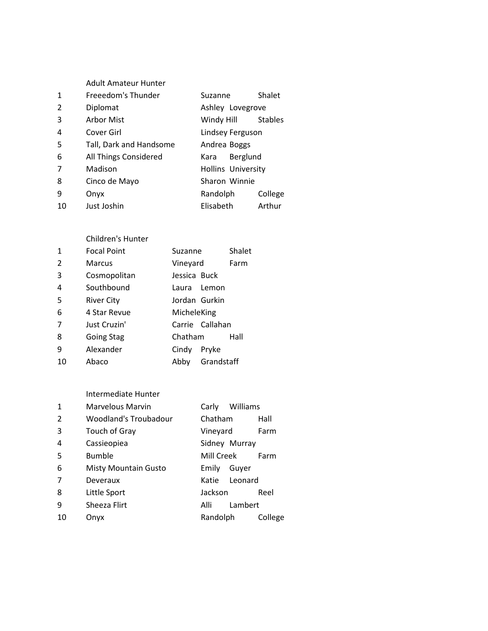|               | <b>Adult Amateur Hunter</b> |                           |                |  |
|---------------|-----------------------------|---------------------------|----------------|--|
| 1             | Freeedom's Thunder          | Suzanne                   | Shalet         |  |
| $\mathcal{P}$ | Diplomat                    | Ashley Lovegrove          |                |  |
| 3             | Arbor Mist                  | Windy Hill                | <b>Stables</b> |  |
| 4             | Cover Girl                  | Lindsey Ferguson          |                |  |
| 5             | Tall, Dark and Handsome     | Andrea Boggs              |                |  |
| 6             | All Things Considered       | Berglund<br>Kara          |                |  |
| 7             | Madison                     | <b>Hollins University</b> |                |  |
| 8             | Cinco de Mayo               | Sharon Winnie             |                |  |
| 9             | Onyx                        | Randolph                  | College        |  |
| 10            | Just Joshin                 | Elisabeth                 | Arthur         |  |

#### Children's Hunter

| 1  | <b>Focal Point</b> | Suzanne       |                 | Shalet |
|----|--------------------|---------------|-----------------|--------|
| 2  | <b>Marcus</b>      | Vineyard      |                 | Farm   |
| 3  | Cosmopolitan       | Jessica Buck  |                 |        |
| 4  | Southbound         | Laura Lemon   |                 |        |
| 5  | <b>River City</b>  | Jordan Gurkin |                 |        |
| 6  | 4 Star Revue       | MicheleKing   |                 |        |
| 7  | Just Cruzin'       |               | Carrie Callahan |        |
| 8  | <b>Going Stag</b>  | Chatham       |                 | Hall   |
| 9  | Alexander          | Cindy         | Pryke           |        |
| 10 | Abaco              | Abby          | Grandstaff      |        |
|    |                    |               |                 |        |

#### Intermediate Hunter

| $\mathbf{1}$ | <b>Marvelous Marvin</b>     | Williams<br>Carly |         |
|--------------|-----------------------------|-------------------|---------|
| 2            | Woodland's Troubadour       | Chatham           | Hall    |
| 3            | Touch of Gray               | Vineyard          | Farm    |
| 4            | Cassieopiea                 | Sidney Murray     |         |
| 5            | <b>Bumble</b>               | Mill Creek        | Farm    |
| 6            | <b>Misty Mountain Gusto</b> | Guver<br>Emily    |         |
| 7            | Deveraux                    | Leonard<br>Katie  |         |
| 8            | Little Sport                | Jackson           | Reel    |
| 9            | Sheeza Flirt                | Lambert<br>Alli   |         |
| 10           | Onyx                        | Randolph          | College |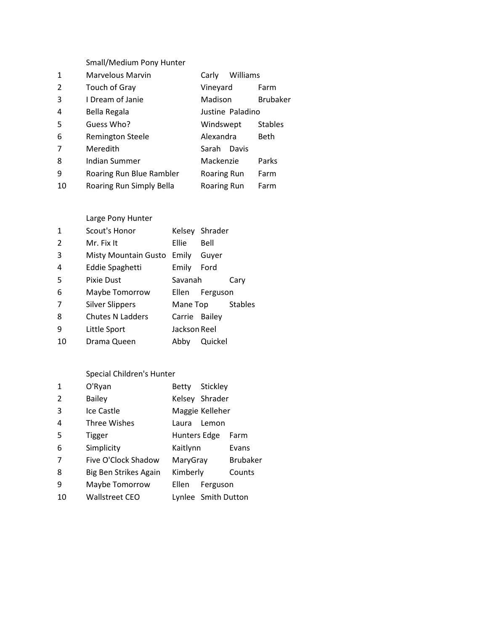|              | Small/Medium Pony Hunter |                    |                 |
|--------------|--------------------------|--------------------|-----------------|
| $\mathbf{1}$ | <b>Marvelous Marvin</b>  | Williams<br>Carly  |                 |
| 2            | Touch of Gray            | Vineyard           | Farm            |
| 3            | I Dream of Janie         | <b>Madison</b>     | <b>Brubaker</b> |
| 4            | Bella Regala             | Justine Paladino   |                 |
| 5            | Guess Who?               | Windswept          | <b>Stables</b>  |
| 6            | <b>Remington Steele</b>  | Alexandra          | Beth            |
| 7            | Meredith                 | Davis<br>Sarah     |                 |
| 8            | Indian Summer            | Mackenzie          | Parks           |
| 9            | Roaring Run Blue Rambler | <b>Roaring Run</b> | Farm            |
| 10           | Roaring Run Simply Bella | Roaring Run        | Farm            |

## Large Pony Hunter

| 1              | Scout's Honor           |               | Kelsey Shrader |                |
|----------------|-------------------------|---------------|----------------|----------------|
| $\mathcal{P}$  | Mr. Fix It              | <b>Ellie</b>  | Bell           |                |
| 3              | Misty Mountain Gusto    | Emily         | Guver          |                |
| 4              | Eddie Spaghetti         | Emily         | Ford           |                |
| 5              | Pixie Dust              | Savanah       |                | Cary           |
| 6              | Maybe Tomorrow          | Ellen         | Ferguson       |                |
| $\overline{7}$ | <b>Silver Slippers</b>  | Mane Top      |                | <b>Stables</b> |
| 8              | <b>Chutes N Ladders</b> | Carrie Bailey |                |                |
| 9              | Little Sport            | Jackson Reel  |                |                |
| 10             | Drama Queen             | Abby          | Quickel        |                |

# Special Children's Hunter

| O'Ryan                | Betty |       |                                                                                                                                      |
|-----------------------|-------|-------|--------------------------------------------------------------------------------------------------------------------------------------|
| <b>Bailey</b>         |       |       |                                                                                                                                      |
| Ice Castle            |       |       |                                                                                                                                      |
| <b>Three Wishes</b>   | Laura | Lemon |                                                                                                                                      |
| Tigger                |       |       | Farm                                                                                                                                 |
| Simplicity            |       |       | Evans                                                                                                                                |
| Five O'Clock Shadow   |       |       | <b>Brubaker</b>                                                                                                                      |
| Big Ben Strikes Again |       |       | Counts                                                                                                                               |
| Maybe Tomorrow        | Ellen |       |                                                                                                                                      |
| Wallstreet CEO        |       |       |                                                                                                                                      |
|                       |       |       | Stickley<br>Kelsey Shrader<br>Maggie Kelleher<br>Hunters Edge<br>Kaitlynn<br>MaryGray<br>Kimberly<br>Ferguson<br>Lynlee Smith Dutton |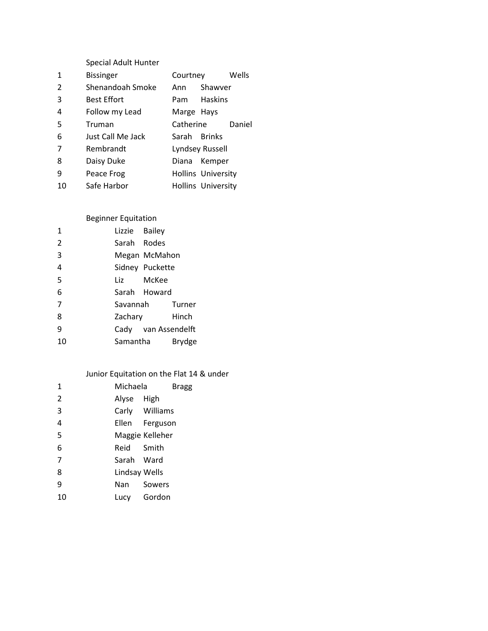|    | <b>Special Adult Hunter</b> |              |                           |        |
|----|-----------------------------|--------------|---------------------------|--------|
| 1  | <b>Bissinger</b>            | Courtney     |                           | Wells  |
| 2  | Shenandoah Smoke            | Ann          | Shawver                   |        |
| 3  | <b>Best Effort</b>          | Pam          | <b>Haskins</b>            |        |
| 4  | Follow my Lead              | Marge Hays   |                           |        |
| 5  | Truman                      | Catherine    |                           | Daniel |
| 6  | Just Call Me Jack           | Sarah Brinks |                           |        |
| 7  | Rembrandt                   |              | Lyndsey Russell           |        |
| 8  | Daisy Duke                  |              | Diana Kemper              |        |
| 9  | Peace Frog                  |              | <b>Hollins University</b> |        |
| 10 | Safe Harbor                 |              | <b>Hollins University</b> |        |
|    |                             |              |                           |        |

## Beginner Equitation

| 1              | Lizzie Bailey |                     |        |
|----------------|---------------|---------------------|--------|
| $\overline{2}$ | Sarah Rodes   |                     |        |
| 3              |               | Megan McMahon       |        |
| 4              |               | Sidney Puckette     |        |
| 5              |               | Liz McKee           |        |
| 6              |               | Sarah Howard        |        |
| $\overline{7}$ |               | Savannah            | Turner |
| 8              | Zachary       |                     | Hinch  |
| 9              |               | Cady van Assendelft |        |
| 10             | Samantha      |                     | Brydge |
|                |               |                     |        |

# Junior Equitation on the Flat 14 & under

| 1              | Michaela      | <b>Bragg</b>    |
|----------------|---------------|-----------------|
| $\overline{2}$ | Alyse High    |                 |
| 3              |               | Carly Williams  |
| 4              |               | Ellen Ferguson  |
| 5              |               | Maggie Kelleher |
| 6              | Reid Smith    |                 |
| 7              | Sarah Ward    |                 |
| 8              | Lindsay Wells |                 |
| 9              | Nan Sowers    |                 |
| 10             |               | Lucy Gordon     |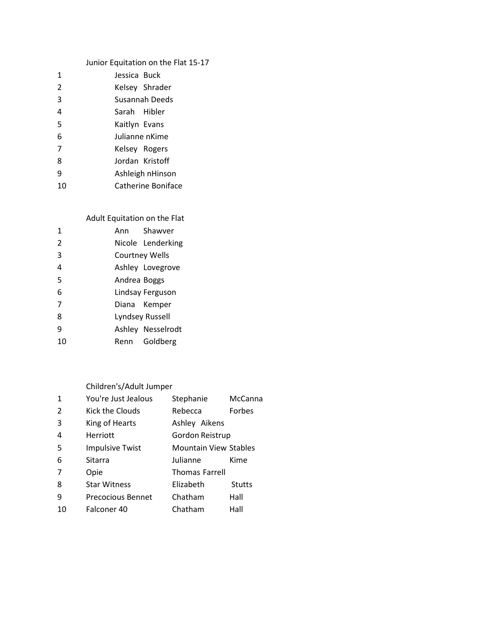# Junior Equitation on the Flat 15-17

| Jessica Buck   |                    |
|----------------|--------------------|
|                | Kelsey Shrader     |
|                | Susannah Deeds     |
| Sarah Hibler   |                    |
| Kaitlyn Evans  |                    |
| Julianne nKime |                    |
| Kelsey Rogers  |                    |
|                | Jordan Kristoff    |
|                | Ashleigh nHinson   |
|                | Catherine Boniface |
|                |                    |

## Adult Equitation on the Flat

| 1              |              | Ann Shawver           |
|----------------|--------------|-----------------------|
| $\mathfrak{p}$ |              | Nicole Lenderking     |
| 3              |              | <b>Courtney Wells</b> |
| 4              |              | Ashley Lovegrove      |
| 5              | Andrea Boggs |                       |
| 6              |              | Lindsay Ferguson      |
| 7              |              | Diana Kemper          |
| 8              |              | Lyndsey Russell       |
| ٩              |              | Ashley Nesselrodt     |
| 10             |              | Renn Goldberg         |

## Children's/Adult Jumper

| 1              | You're Just Jealous      | Stephanie                    | McCanna       |
|----------------|--------------------------|------------------------------|---------------|
| $\mathcal{P}$  | Kick the Clouds          | Rebecca                      | Forbes        |
| 3              | King of Hearts           | Ashley Aikens                |               |
| 4              | Herriott                 | Gordon Reistrup              |               |
| .5             | <b>Impulsive Twist</b>   | <b>Mountain View Stables</b> |               |
| 6              | Sitarra                  | Julianne                     | Kime          |
| $\overline{7}$ | Opie                     | <b>Thomas Farrell</b>        |               |
| 8              | <b>Star Witness</b>      | Elizabeth                    | <b>Stutts</b> |
| 9              | <b>Precocious Bennet</b> | Chatham                      | Hall          |
| 10             | Falconer 40              | Chatham                      | Hall          |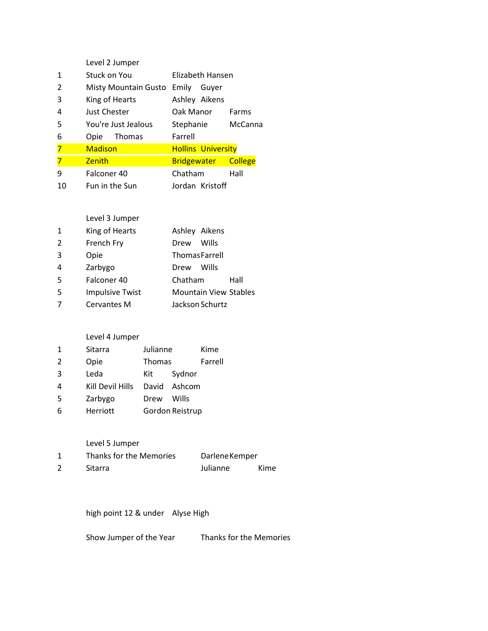|               | Level 2 Jumper       |                           |                |
|---------------|----------------------|---------------------------|----------------|
| 1             | Stuck on You         | Elizabeth Hansen          |                |
| $\mathcal{P}$ | Misty Mountain Gusto | Emily<br>Guver            |                |
| 3             | King of Hearts       | Ashley Aikens             |                |
| 4             | Just Chester         | Oak Manor                 | Farms          |
| 5             | You're Just Jealous  | Stephanie                 | McCanna        |
| 6             | Thomas<br>Opie       | Farrell                   |                |
| 7             | <b>Madison</b>       | <b>Hollins University</b> |                |
|               | <b>Zenith</b>        | <b>Bridgewater</b>        | <b>College</b> |
| 9             | Falconer 40          | Chatham                   | Hall           |
| 10            | Fun in the Sun       | Jordan Kristoff           |                |

## Level 3 Jumper

| 1  | King of Hearts         | Ashley Aikens                |  |
|----|------------------------|------------------------------|--|
| 2  | French Fry             | Wills<br>Drew                |  |
| 3  | Opie                   | <b>ThomasFarrell</b>         |  |
| 4  | Zarbygo                | Wills<br>Drew                |  |
| .5 | Falconer 40            | Chatham<br>Hall              |  |
| -5 | <b>Impulsive Twist</b> | <b>Mountain View Stables</b> |  |
| 7  | Cervantes M            | Jackson Schurtz              |  |

### Level 4 Jumper

| $\mathbf{1}$ | Sitarra          | Julianne |                 | Kime    |
|--------------|------------------|----------|-----------------|---------|
| 2            | Opie             | Thomas   |                 | Farrell |
| 3            | Leda             | Kit      | Sydnor          |         |
| 4            | Kill Devil Hills | David    | Ashcom          |         |
| 5            | Zarbygo          | Drew     | Wills           |         |
| 6            | Herriott         |          | Gordon Reistrup |         |

Level 5 Jumper

| Thanks for the Memories | Darlene Kemper |      |
|-------------------------|----------------|------|
| Sitarra                 | Julianne       | Kime |

high point 12 & under Alyse High

Show Jumper of the Year Thanks for the Memories